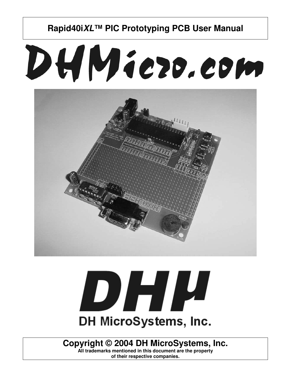# DHMiezo.com





**Copyright © 2004 DH MicroSystems, Inc.**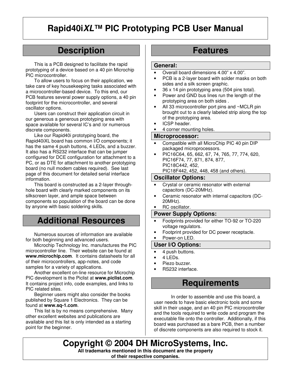# **Description**

This is a PCB designed to facilitate the rapid prototyping of a device based on a 40 pin Microchip PIC microcontroller.

To allow users to focus on their application, we take care of key housekeeping tasks associated with a microcontroller-based device. To this end, our PCB features several power supply options, a 40 pin footprint for the microcontroller, and several oscillator options.

Users can construct their application circuit in our generous a generous prototyping area with space available for several IC's and /or numerous discrete components.

Like our Rapid40i prototyping board, the Rapid40iXL board has common I/O components; it has the same 4 push buttons, 4 LEDs, and a buzzer. It also has a RS232 interface that can be jumper configured for DCE configuration for attachment to a PC, or as DTE for attachment to another prototyping board (no null modem cables required). See last page of this document for detailed serial interface information.

This board is constructed as a 2-layer throughhole board with clearly marked components on its silkscreen layer, and ample space between components so population of the board can be done by anyone with basic soldering skills.

# **Additional Resources**

Numerous sources of information are available for both beginning and advanced users.

Microchip Technology Inc. manufactures the PIC microcontroller line. Their website can be found at **www.microchip.com**. It contains datasheets for all of their microcontrollers, app-notes, and code samples for a variety of applications.

Another excellent on-line resource for Microchip PIC development is the Piclist at **www.piclist.com**. It contains project info, code examples, and links to PIC related sites.

Beginner users might also consider the books published by Square 1 Electronics. They can be found at **www.sq-1.com**.

This list is by no means comprehensive. Many other excellent websites and publications are available and this list is only intended as a starting point for the beginner.

# **Features**

### **General:**

- Overall board dimensions 4.00" x 4.00".
- PCB is a 2-layer board with solder masks on both sides and a silk screen graphic.
- 36 x 14 pin prototyping area (504 pins total).
- Power and GND bus lines run the length of the prototyping area on both sides .
- All 33 microcontroller port pins and ~MCLR pin brought out to a clearly labeled strip along the top of the prototyping area.
- ICSP header.
- 4 corner mounting holes.

### **Microprocessor:**

- Compatible with all MicroChip PIC 40 pin DIP packaged microprocessors.
- PIC16C64, 65, 662, 67, 74, 765, 77, 774, 620, PIC16F74, 77, 871, 874, 877, PIC18C442, 452, PIC18F442, 452, 448, 458 (and others).

### **Oscillator Options:**

- Crystal or ceramic resonator with external capacitors (DC-20MHz).
- Ceramic resonator with internal capacitors (DC-20MHz).
- RC oscillator.

### **Power Supply Options:**

- Footprints provided for either TO-92 or TO-220 voltage regulators.
- Footprint provided for DC power receptacle.
- Power-on LED.

### **User I/O Options:**

- 4 push buttons.
- 4 LEDs.
- Piezo buzzer
- RS232 interface.

# **Requirements**

In order to assemble and use this board, a user needs to have basic electronic tools and some skill in their usage, and an 40 pin PIC microcontroller and the tools required to write code and program the executable file onto the controller. Additionally, if this board was purchased as a bare PCB, then a number of discrete components are also required to stock it.

**Copyright © 2004 DH MicroSystems, Inc. All trademarks mentioned in this document are the property of their respective companies.**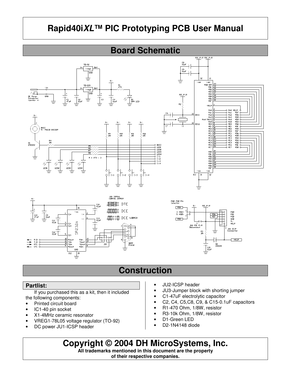



# **Construction**

### **Partlist:**

If you purchased this as a kit, then it included the following components:

- Printed circuit board
- IC1-40 pin socket
- X1-4MHz ceramic resonator
- VREG1-78L05 voltage regulator (TO-92)
- DC power JU1-ICSP header
- JU2-ICSP header
- JU3-Jumper block with shorting jumper
- C1-47uF electrolytic capacitor
- C2, C4, C5,C8, C9, & C15-0.1uF capacitors

D2<br>1N4148

 $\bigcap_{0.14}$ 

- R1-470 Ohm, 1/8W, resistor
- R3-10k Ohm, 1/8W, resistor
- D1-Green LED
- D2-1N4148 diode

**Copyright © 2004 DH MicroSystems, Inc.**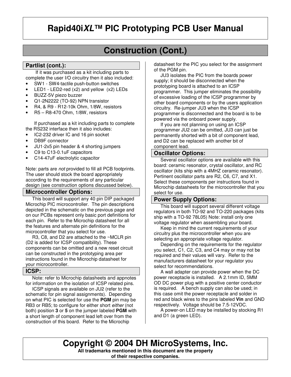# **Construction (Cont.)**

### **Partlist (cont.):**

If it was purchased as a kit including parts to complete the user I/O circuitry then it also included:

- SW1 SW4-tactile push-button switches
- LED1 LED2-red  $(x2)$  and yellow  $(x2)$  LEDs
- BUZZ-5V piezo buzzer
- Q1-2N2222 (TO-92) NPN transistor
- R4, & R9 R12-10k Ohm, 1/8W, resistors
- R5 R8-470 Ohm, 1/8W, resistors

If purchased as a kit including parts to complete the RS232 interface then it also includes:

- IC2-232 driver IC and 16 pin socket
- DB9F connector
- JU1-2x5 pin header & 4 shorting jumpers
- C9 to C13-0.1uF capacitors
- C14-47uF electrolytic capacitor

Note: parts are *not* provided to fill all PCB footprints. The user should stock the board appropriately according to the requirements of any particular design (see construction options discussed below).

### **Microcontroller Options:**

This board will support any 40 pin DIP packaged Microchip PIC microcontroller. The pin descriptions depicted in the schematic on the previous page and on our PCBs represent only basic port definitions for each pin. Refer to the Microchip datasheet for all the features and alternate pin definitions for the microcontroller that you select for use.

 R3, C8, and D2 are attached to the ~MCLR pin (D2 is added for ICSP compatibility). These components can be omitted and a new reset circuit can be constructed in the prototyping area per instructions found in the Microchip datasheet for your microcontroller.

### **ICSP:**

 Note: refer to Microchip datasheets and appnotes for information on the isolation of ICSP related pins.

 ICSP signals are available on JU2 (refer to the schematic for pin signal assignments). Depending on what PIC is selected for use the **PGM** pin may be RB3 or RB5; to configure for either short *either* (not both) position **3** or **5** on the jumper labeled **PGM** with a short length of component lead left over from the construction of this board. Refer to the Microchip

datasheet for the PIC you select for the assignment of the PGM pin.

 JU3 isolates the PIC from the boards power supply; it should be disconnected when the prototyping board is attached to an ICSP programmer. This jumper eliminates the possibility of excessive loading of the ICSP programmer by other board components or by the users application circuitry. Re-jumper JU3 when the ICSP programmer is disconnected and the board is to be powered via the onboard power supply.

 If you are not planning on using an ICSP programmer JU2 can be omitted, JU3 can just be permanently shorted with a bit of component lead, and D2 can be replaced with another bit of component lead.

### **Oscillator Options:**

 Several oscillator options are available with this board: ceramic resonator, crystal oscillator, and RC oscillator (kits ship with a 4MHZ ceramic resonator). Pertinent oscillator parts are R2, C6, C7, and X1. Select these components per instructions found in Microchip datasheets for the microcontroller that you select for use.

### **Power Supply Options:**

 This board will support several different voltage regulators in both TO-92 and TO-220 packages (kits ship with a TO-92 78L05) Note: install only one voltage regulator when assembling your board.

 Keep in mind the current requirements of your circuitry plus the microcontroller when you are selecting an appropriate voltage regulator.

 Depending on the requirements for the regulator you select, C1, C2, C3, and C4 may or may not be required and their values will vary. Refer to the manufacturers datasheet for your regulator you select for recommendations.

 A wall adapter can provide power when the DC power receptacle is installed. A 2.1mm ID, 5MM OD DC power plug with a positive center conductor is required. A bench supply can also be used; in this case omit the power receptacle and solder in red and black wires to the pins labeled **Vin** and GND respectively. Voltage should be 7.5-12VDC.

 A power-on LED may be installed by stocking R1 and D1 (a green LED).

**Copyright © 2004 DH MicroSystems, Inc. All trademarks mentioned in this document are the property of their respective companies.**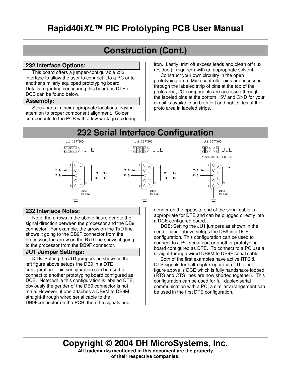# **Construction (Cont.)**

### **232 Interface Options:**

 This board offers a jumper-configurable 232 interface to allow the user to connect it to a PC or to another similarly equipped prototyping board. Details regarding configuring this board as DTE or DCE can be found below.

### **Assembly:**

 Stock parts in their appropriate locations, paying attention to proper component alignment. Solder components to the PCB with a low wattage soldering iron. Lastly, trim off excess leads and clean off flux residue (if required) with an appropriate solvent.

 Construct your own circuitry in the open prototyping area. Microcontroller pins are accessed through the labeled strip of pins at the top of the proto area; I/O components are accessed through the labeled pins at the bottom. 5V and GND for your circuit is available on both left and right sides of the proto area in labeled strips.

# **232 Serial Interface Configuration**



### **232 Interface Notes:**

 Note: the arrows in the above figure denote the signal direction between the processor and the DB9 connector. For example, the arrow on the TxD line shows it going to the DB9F connector from the processor; the arrow on the RxD line shows it going to the processor from the DB9F connector.

### **JU1 Jumper Settings:**

 **DTE**: Setting the JU1 jumpers as shown in the left figure above setups the DB9 in a DTE configuration. This configuration can be used to connect to another prototyping board configured as DCE. Note: while this configuration is labeled DTE, obviously the gender of the DB9 connector is not male. However, if one attaches a DB9M to DB9M straight-through wired serial cable to the DB9Fconnector on the PCB, then the signals and

gender on the opposite end of the serial cable is appropriate for DTE and can be plugged directly into a DCE configured board.

 **DCE**: Setting the JU1 jumpers as shown in the center figure above setups the DB9 in a DCE configuration. This configuration can be used to connect to a PC serial port or another prototyping board configured as DTE. To connect to a PC use a straight-through wired DB9M to DB9F serial cable.

 Both of the first examples have active RTS & CTS signals for half-duplex operation. The last figure above is DCE which is fully handshake looped (RTS and CTS lines are now shorted together). This configuration can be used for full-duplex serial communication with a PC; a similar arrangement can be used in the first DTE configuration.

# **Copyright © 2004 DH MicroSystems, Inc.**